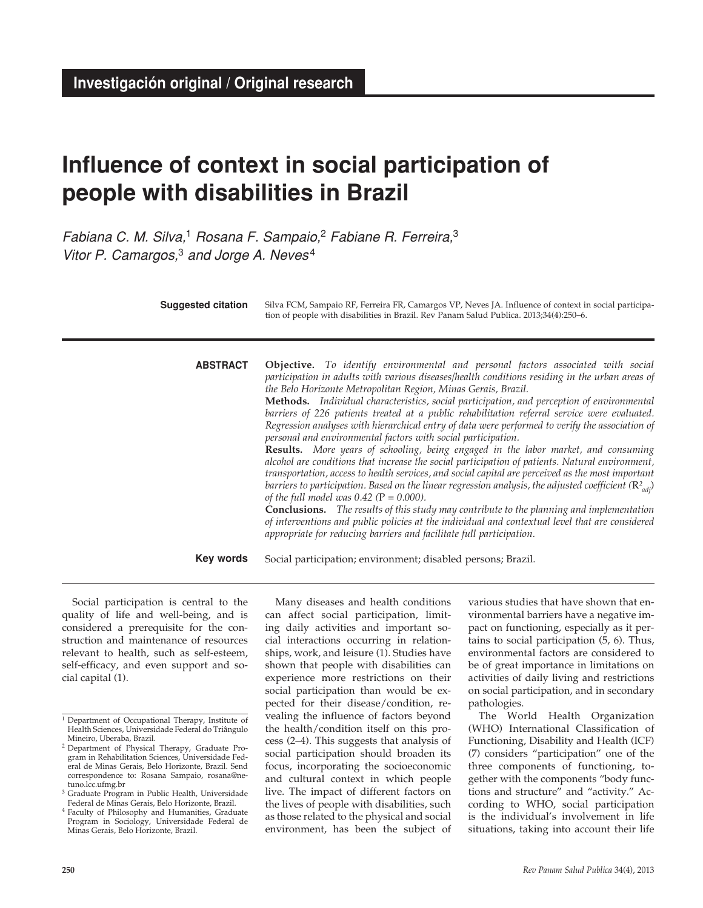# **Influence of context in social participation of people with disabilities in Brazil**

*Fabiana C. M. Silva,*1 *Rosana F. Sampaio,*2 *Fabiane R. Ferreira,*<sup>3</sup> *Vitor P. Camargos,*3 *and Jorge A. Neves* <sup>4</sup>

| <b>Suggested citation</b> | Silva FCM, Sampaio RF, Ferreira FR, Camargos VP, Neves JA. Influence of context in social participa-<br>tion of people with disabilities in Brazil. Rev Panam Salud Publica. 2013;34(4):250-6.                                                                                                                                                                                                                                                                                                                                                                                                                                                                                                                                                                                                                                                                                                                                                                                                                                                                                                                                                                                                                                                                                                                                                                               |  |  |  |
|---------------------------|------------------------------------------------------------------------------------------------------------------------------------------------------------------------------------------------------------------------------------------------------------------------------------------------------------------------------------------------------------------------------------------------------------------------------------------------------------------------------------------------------------------------------------------------------------------------------------------------------------------------------------------------------------------------------------------------------------------------------------------------------------------------------------------------------------------------------------------------------------------------------------------------------------------------------------------------------------------------------------------------------------------------------------------------------------------------------------------------------------------------------------------------------------------------------------------------------------------------------------------------------------------------------------------------------------------------------------------------------------------------------|--|--|--|
| <b>ABSTRACT</b>           | Objective. To identify environmental and personal factors associated with social<br>participation in adults with various diseases/health conditions residing in the urban areas of<br>the Belo Horizonte Metropolitan Region, Minas Gerais, Brazil.<br>Methods. Individual characteristics, social participation, and perception of environmental<br>barriers of 226 patients treated at a public rehabilitation referral service were evaluated.<br>Regression analyses with hierarchical entry of data were performed to verify the association of<br>personal and environmental factors with social participation.<br><b>Results.</b> More years of schooling, being engaged in the labor market, and consuming<br>alcohol are conditions that increase the social participation of patients. Natural environment,<br>transportation, access to health services, and social capital are perceived as the most important<br>barriers to participation. Based on the linear regression analysis, the adjusted coefficient $(\mathbb{R}^2_{adi})$<br>of the full model was $0.42$ (P = 0.000).<br><b>Conclusions.</b> The results of this study may contribute to the planning and implementation<br>of interventions and public policies at the individual and contextual level that are considered<br>appropriate for reducing barriers and facilitate full participation. |  |  |  |
| Key words                 | Social participation; environment; disabled persons; Brazil.                                                                                                                                                                                                                                                                                                                                                                                                                                                                                                                                                                                                                                                                                                                                                                                                                                                                                                                                                                                                                                                                                                                                                                                                                                                                                                                 |  |  |  |

Social participation is central to the quality of life and well-being, and is considered a prerequisite for the construction and maintenance of resources relevant to health, such as self-esteem, self-efficacy, and even support and social capital (1).

Many diseases and health conditions can affect social participation, limiting daily activities and important social interactions occurring in relationships, work, and leisure (1). Studies have shown that people with disabilities can experience more restrictions on their social participation than would be expected for their disease/condition, revealing the influence of factors beyond the health/condition itself on this process (2–4). This suggests that analysis of social participation should broaden its focus, incorporating the socioeconomic and cultural context in which people live. The impact of different factors on the lives of people with disabilities, such as those related to the physical and social environment, has been the subject of

various studies that have shown that environmental barriers have a negative impact on functioning, especially as it pertains to social participation (5, 6). Thus, environmental factors are considered to be of great importance in limitations on activities of daily living and restrictions on social participation, and in secondary pathologies.

The World Health Organization (WHO) International Classification of Functioning, Disability and Health (ICF) (7) considers "participation" one of the three components of functioning, together with the components "body functions and structure" and "activity." According to WHO, social participation is the individual's involvement in life situations, taking into account their life

<sup>1</sup> Department of Occupational Therapy, Institute of Health Sciences, Universidade Federal do Triângulo Mineiro, Uberaba, Brazil.

<sup>2</sup> Department of Physical Therapy, Graduate Program in Rehabilitation Sciences, Universidade Federal de Minas Gerais, Belo Horizonte, Brazil. Send correspondence to: Rosana Sampaio, rosana@netuno.lcc.ufmg.br

<sup>3</sup> Graduate Program in Public Health, Universidade Federal de Minas Gerais, Belo Horizonte, Brazil.

<sup>&</sup>lt;sup>4</sup> Faculty of Philosophy and Humanities, Graduate Program in Sociology, Universidade Federal de Minas Gerais, Belo Horizonte, Brazil.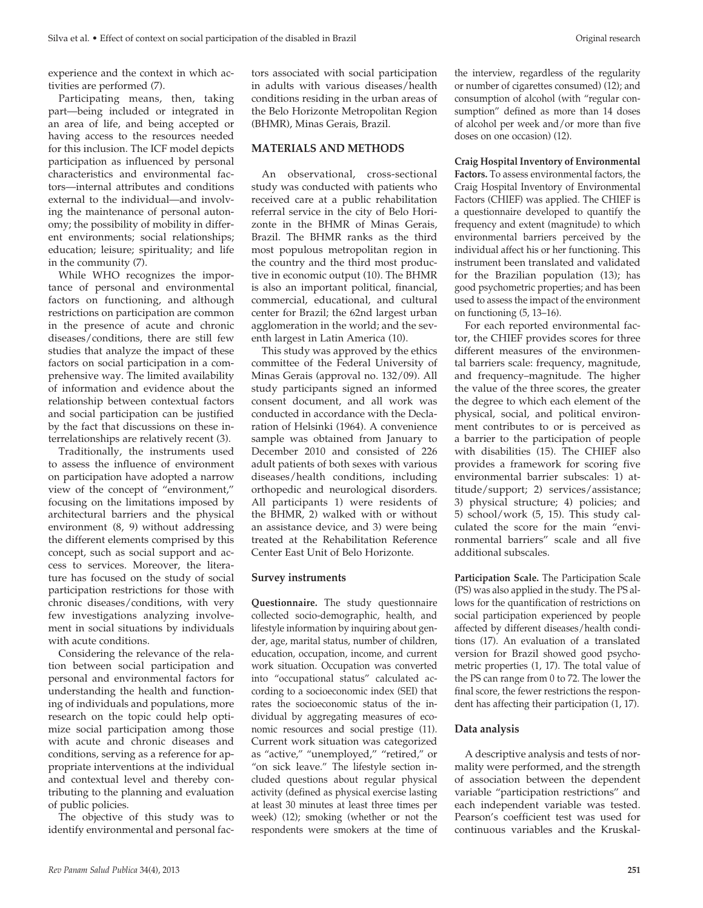experience and the context in which activities are performed (7).

Participating means, then, taking part—being included or integrated in an area of life, and being accepted or having access to the resources needed for this inclusion. The ICF model depicts participation as influenced by personal characteristics and environmental factors—internal attributes and conditions external to the individual—and involving the maintenance of personal autonomy; the possibility of mobility in different environments; social relationships; education; leisure; spirituality; and life in the community (7).

While WHO recognizes the importance of personal and environmental factors on functioning, and although restrictions on participation are common in the presence of acute and chronic diseases/conditions, there are still few studies that analyze the impact of these factors on social participation in a comprehensive way. The limited availability of information and evidence about the relationship between contextual factors and social participation can be justified by the fact that discussions on these interrelationships are relatively recent (3).

Traditionally, the instruments used to assess the influence of environment on participation have adopted a narrow view of the concept of "environment," focusing on the limitations imposed by architectural barriers and the physical environment (8, 9) without addressing the different elements comprised by this concept, such as social support and access to services. Moreover, the literature has focused on the study of social participation restrictions for those with chronic diseases/conditions, with very few investigations analyzing involvement in social situations by individuals with acute conditions.

Considering the relevance of the relation between social participation and personal and environmental factors for understanding the health and functioning of individuals and populations, more research on the topic could help optimize social participation among those with acute and chronic diseases and conditions, serving as a reference for appropriate interventions at the individual and contextual level and thereby contributing to the planning and evaluation of public policies.

The objective of this study was to identify environmental and personal factors associated with social participation in adults with various diseases/health conditions residing in the urban areas of the Belo Horizonte Metropolitan Region (BHMR), Minas Gerais, Brazil.

## **MATERIALS AND METHODS**

An observational, cross-sectional study was conducted with patients who received care at a public rehabilitation referral service in the city of Belo Horizonte in the BHMR of Minas Gerais, Brazil. The BHMR ranks as the third most populous metropolitan region in the country and the third most productive in economic output (10). The BHMR is also an important political, financial, commercial, educational, and cultural center for Brazil; the 62nd largest urban agglomeration in the world; and the seventh largest in Latin America (10).

This study was approved by the ethics committee of the Federal University of Minas Gerais (approval no. 132/09). All study participants signed an informed consent document, and all work was conducted in accordance with the Declaration of Helsinki (1964). A convenience sample was obtained from January to December 2010 and consisted of 226 adult patients of both sexes with various diseases/health conditions, including orthopedic and neurological disorders. All participants 1) were residents of the BHMR, 2) walked with or without an assistance device, and 3) were being treated at the Rehabilitation Reference Center East Unit of Belo Horizonte.

#### **Survey instruments**

**Questionnaire.** The study questionnaire collected socio-demographic, health, and lifestyle information by inquiring about gender, age, marital status, number of children, education, occupation, income, and current work situation. Occupation was converted into "occupational status" calculated according to a socioeconomic index (SEI) that rates the socioeconomic status of the individual by aggregating measures of economic resources and social prestige (11). Current work situation was categorized as "active," "unemployed," "retired," or "on sick leave." The lifestyle section included questions about regular physical activity (defined as physical exercise lasting at least 30 minutes at least three times per week) (12); smoking (whether or not the respondents were smokers at the time of

the interview, regardless of the regularity or number of cigarettes consumed) (12); and consumption of alcohol (with "regular consumption" defined as more than 14 doses of alcohol per week and/or more than five doses on one occasion) (12).

**Craig Hospital Inventory of Environmental Factors.** To assess environmental factors, the Craig Hospital Inventory of Environmental Factors (CHIEF) was applied. The CHIEF is a questionnaire developed to quantify the frequency and extent (magnitude) to which environmental barriers perceived by the individual affect his or her functioning. This instrument been translated and validated for the Brazilian population (13); has good psychometric properties; and has been used to assess the impact of the environment on functioning (5, 13–16).

For each reported environmental factor, the CHIEF provides scores for three different measures of the environmental barriers scale: frequency, magnitude, and frequency–magnitude. The higher the value of the three scores, the greater the degree to which each element of the physical, social, and political environment contributes to or is perceived as a barrier to the participation of people with disabilities (15). The CHIEF also provides a framework for scoring five environmental barrier subscales: 1) attitude/support; 2) services/assistance; 3) physical structure; 4) policies; and 5) school/work (5, 15). This study calculated the score for the main "environmental barriers" scale and all five additional subscales.

**Participation Scale.** The Participation Scale (PS) was also applied in the study. The PS allows for the quantification of restrictions on social participation experienced by people affected by different diseases/health conditions (17). An evaluation of a translated version for Brazil showed good psychometric properties (1, 17). The total value of the PS can range from 0 to 72. The lower the final score, the fewer restrictions the respondent has affecting their participation (1, 17).

#### **Data analysis**

A descriptive analysis and tests of normality were performed, and the strength of association between the dependent variable "participation restrictions" and each independent variable was tested. Pearson's coefficient test was used for continuous variables and the Kruskal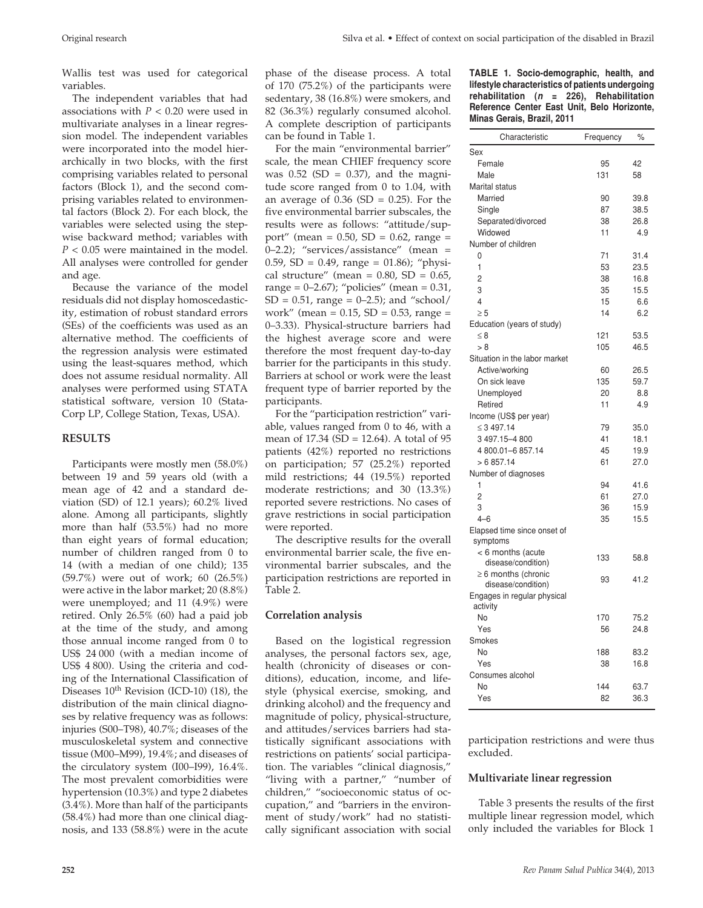Wallis test was used for categorical variables.

The independent variables that had associations with *P* < 0.20 were used in multivariate analyses in a linear regression model. The independent variables were incorporated into the model hierarchically in two blocks, with the first comprising variables related to personal factors (Block 1), and the second comprising variables related to environmental factors (Block 2). For each block, the variables were selected using the stepwise backward method; variables with *P* < 0.05 were maintained in the model. All analyses were controlled for gender and age.

Because the variance of the model residuals did not display homoscedasticity, estimation of robust standard errors (SEs) of the coefficients was used as an alternative method. The coefficients of the regression analysis were estimated using the least-squares method, which does not assume residual normality. All analyses were performed using STATA statistical software, version 10 (Stata-Corp LP, College Station, Texas, USA).

# **RESULTS**

Participants were mostly men (58.0%) between 19 and 59 years old (with a mean age of 42 and a standard deviation (SD) of 12.1 years); 60.2% lived alone. Among all participants, slightly more than half (53.5%) had no more than eight years of formal education; number of children ranged from 0 to 14 (with a median of one child); 135 (59.7%) were out of work; 60 (26.5%) were active in the labor market; 20 (8.8%) were unemployed; and 11 (4.9%) were retired. Only 26.5% (60) had a paid job at the time of the study, and among those annual income ranged from 0 to US\$ 24 000 (with a median income of US\$ 4 800). Using the criteria and coding of the International Classification of Diseases  $10^{th}$  Revision (ICD-10) (18), the distribution of the main clinical diagnoses by relative frequency was as follows: injuries (S00–T98), 40.7%; diseases of the musculoskeletal system and connective tissue (M00–M99), 19.4%; and diseases of the circulatory system (I00–I99), 16.4%. The most prevalent comorbidities were hypertension (10.3%) and type 2 diabetes (3.4%). More than half of the participants (58.4%) had more than one clinical diagnosis, and 133 (58.8%) were in the acute

phase of the disease process. A total of 170 (75.2%) of the participants were sedentary, 38 (16.8%) were smokers, and 82 (36.3%) regularly consumed alcohol. A complete description of participants can be found in Table 1.

For the main "environmental barrier" scale, the mean CHIEF frequency score was  $0.52$  (SD = 0.37), and the magnitude score ranged from 0 to 1.04, with an average of  $0.36$  (SD = 0.25). For the five environmental barrier subscales, the results were as follows: "attitude/support" (mean =  $0.50$ , SD =  $0.62$ , range = 0–2.2); "services/assistance" (mean = 0.59, SD = 0.49, range = 01.86); "physical structure" (mean =  $0.80$ , SD =  $0.65$ , range =  $0-2.67$ ; "policies" (mean =  $0.31$ ,  $SD = 0.51$ , range = 0–2.5); and "school/ work" (mean =  $0.15$ , SD =  $0.53$ , range = 0–3.33). Physical-structure barriers had the highest average score and were therefore the most frequent day-to-day barrier for the participants in this study. Barriers at school or work were the least frequent type of barrier reported by the participants.

For the "participation restriction" variable, values ranged from 0 to 46, with a mean of 17.34 (SD = 12.64). A total of 95 patients (42%) reported no restrictions on participation; 57 (25.2%) reported mild restrictions; 44 (19.5%) reported moderate restrictions; and 30 (13.3%) reported severe restrictions. No cases of grave restrictions in social participation were reported.

The descriptive results for the overall environmental barrier scale, the five environmental barrier subscales, and the participation restrictions are reported in Table 2.

#### **Correlation analysis**

Based on the logistical regression analyses, the personal factors sex, age, health (chronicity of diseases or conditions), education, income, and lifestyle (physical exercise, smoking, and drinking alcohol) and the frequency and magnitude of policy, physical-structure, and attitudes/services barriers had statistically significant associations with restrictions on patients' social participation. The variables "clinical diagnosis," "living with a partner," "number of children," "socioeconomic status of occupation," and "barriers in the environment of study/work" had no statistically significant association with social

**TABLE 1. Socio-demographic, health, and lifestyle characteristics of patients undergoing rehabilitation (***n* **= 226), Rehabilitation Reference Center East Unit, Belo Horizonte, Minas Gerais, Brazil, 2011**

| Characteristic                          | Frequency | $\%$ |
|-----------------------------------------|-----------|------|
| Sex                                     |           |      |
| Female                                  | 95        | 42   |
| Male                                    | 131       | 58   |
| <b>Marital status</b>                   |           |      |
| Married                                 | 90        | 39.8 |
| Single                                  | 87        | 38.5 |
| Separated/divorced                      | 38        | 26.8 |
| Widowed                                 | 11        | 4.9  |
| Number of children                      |           |      |
| 0                                       | 71        | 31.4 |
| 1                                       | 53        | 23.5 |
| $\overline{2}$                          | 38        | 16.8 |
| 3                                       | 35        | 15.5 |
| 4                                       | 15        | 6.6  |
| $\geq 5$                                | 14        | 6.2  |
| Education (years of study)              |           |      |
| $\leq 8$                                | 121       | 53.5 |
| > 8                                     | 105       | 46.5 |
| Situation in the labor market           |           |      |
| Active/working                          | 60        | 26.5 |
| On sick leave                           | 135       | 59.7 |
| Unemployed                              | 20        | 8.8  |
| Retired                                 | 11        | 4.9  |
| Income (US\$ per year)                  |           |      |
| $\leq 3497.14$                          | 79        | 35.0 |
| 3 497.15-4 800                          | 41        | 18.1 |
| 4800.01-6857.14                         | 45        | 19.9 |
| > 6857.14                               | 61        | 27.0 |
| Number of diagnoses                     |           |      |
| 1                                       | 94        | 41.6 |
| $\overline{2}$                          | 61        | 27.0 |
| 3                                       | 36        | 15.9 |
| $4 - 6$                                 | 35        | 15.5 |
| Elapsed time since onset of             |           |      |
| symptoms                                |           |      |
| < 6 months (acute                       | 133       | 58.8 |
| disease/condition)                      |           |      |
| $\geq 6$ months (chronic                | 93        | 41.2 |
| disease/condition)                      |           |      |
| Engages in regular physical<br>activity |           |      |
| No                                      | 170       | 75.2 |
| Yes                                     | 56        | 24.8 |
| Smokes                                  |           |      |
| <b>No</b>                               | 188       | 83.2 |
| Yes                                     | 38        | 16.8 |
| Consumes alcohol                        |           |      |
| <b>No</b>                               | 144       | 63.7 |
| Yes                                     | 82        | 36.3 |

participation restrictions and were thus excluded.

#### **Multivariate linear regression**

Table 3 presents the results of the first multiple linear regression model, which only included the variables for Block 1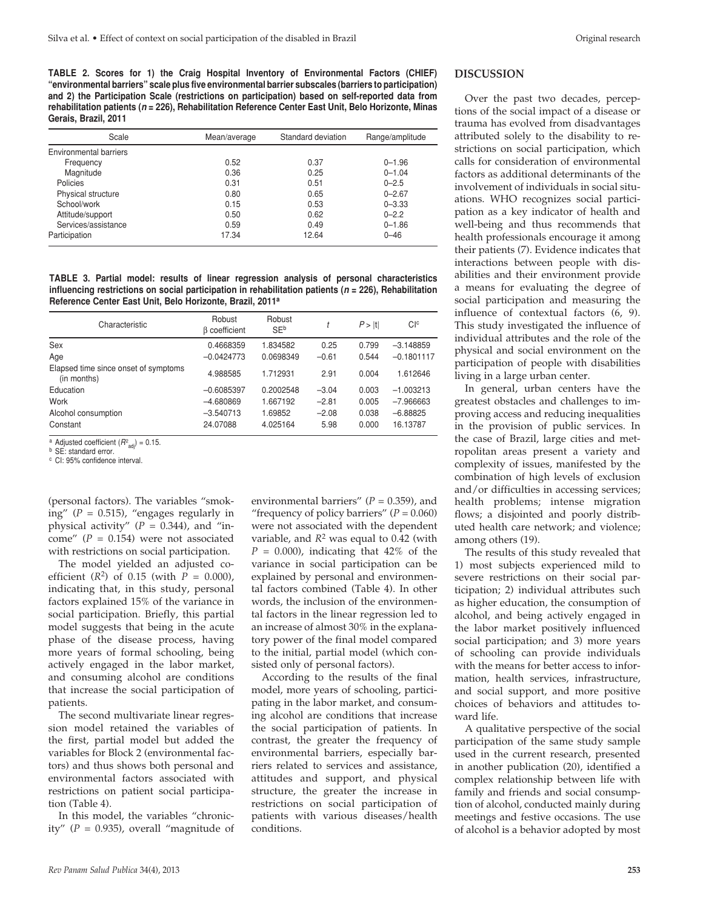**TABLE 2. Scores for 1) the Craig Hospital Inventory of Environmental Factors (CHIEF) "environmental barriers" scale plus five environmental barrier subscales (barriers to participation) and 2) the Participation Scale (restrictions on participation) based on self-reported data from rehabilitation patients (***n* **= 226), Rehabilitation Reference Center East Unit, Belo Horizonte, Minas Gerais, Brazil, 2011**

| Scale                  | Mean/average | Standard deviation | Range/amplitude |
|------------------------|--------------|--------------------|-----------------|
| Environmental barriers |              |                    |                 |
| Frequency              | 0.52         | 0.37               | $0 - 1.96$      |
| Magnitude              | 0.36         | 0.25               | $0 - 1.04$      |
| Policies               | 0.31         | 0.51               | $0 - 2.5$       |
| Physical structure     | 0.80         | 0.65               | $0 - 2.67$      |
| School/work            | 0.15         | 0.53               | $0 - 3.33$      |
| Attitude/support       | 0.50         | 0.62               | $0 - 2.2$       |
| Services/assistance    | 0.59         | 0.49               | $0 - 1.86$      |
| Participation          | 17.34        | 12.64              | $0 - 46$        |

**TABLE 3. Partial model: results of linear regression analysis of personal characteristics influencing restrictions on social participation in rehabilitation patients (***n* **= 226), Rehabilitation Reference Center East Unit, Belo Horizonte, Brazil, 2011a**

| Characteristic                                      | Robust<br><b>B</b> coefficient | Robust<br><b>SEb</b> |         | P >  t | C <sub>1c</sub> |
|-----------------------------------------------------|--------------------------------|----------------------|---------|--------|-----------------|
| Sex                                                 | 0.4668359                      | 1.834582             | 0.25    | 0.799  | $-3.148859$     |
| Age                                                 | $-0.0424773$                   | 0.0698349            | $-0.61$ | 0.544  | $-0.1801117$    |
| Elapsed time since onset of symptoms<br>(in months) | 4.988585                       | 1.712931             | 2.91    | 0.004  | 1.612646        |
| Education                                           | $-0.6085397$                   | 0.2002548            | $-3.04$ | 0.003  | $-1.003213$     |
| Work                                                | $-4.680869$                    | 1.667192             | $-2.81$ | 0.005  | $-7.966663$     |
| Alcohol consumption                                 | $-3.540713$                    | 1.69852              | $-2.08$ | 0.038  | $-6.88825$      |
| Constant                                            | 24.07088                       | 4.025164             | 5.98    | 0.000  | 16.13787        |

<sup>a</sup> Adjusted coefficient  $(R^2_{\text{adj}}) = 0.15$ .<br><sup>b</sup> SE: standard error.

<sup>c</sup> CI: 95% confidence interval.

(personal factors). The variables "smoking"  $(P = 0.515)$ , "engages regularly in physical activity"  $(P = 0.344)$ , and "income" (*P* = 0.154) were not associated with restrictions on social participation.

The model yielded an adjusted coefficient  $(R^2)$  of 0.15 (with  $P = 0.000$ ), indicating that, in this study, personal factors explained 15% of the variance in social participation. Briefly, this partial model suggests that being in the acute phase of the disease process, having more years of formal schooling, being actively engaged in the labor market, and consuming alcohol are conditions that increase the social participation of patients.

The second multivariate linear regression model retained the variables of the first, partial model but added the variables for Block 2 (environmental factors) and thus shows both personal and environmental factors associated with restrictions on patient social participation (Table 4).

In this model, the variables "chronicity"  $(P = 0.935)$ , overall "magnitude of

environmental barriers" ( $P = 0.359$ ), and "frequency of policy barriers"  $(P = 0.060)$ were not associated with the dependent variable, and  $R^2$  was equal to 0.42 (with  $P = 0.000$ , indicating that 42% of the variance in social participation can be explained by personal and environmental factors combined (Table 4). In other words, the inclusion of the environmental factors in the linear regression led to an increase of almost 30% in the explanatory power of the final model compared to the initial, partial model (which consisted only of personal factors).

According to the results of the final model, more years of schooling, participating in the labor market, and consuming alcohol are conditions that increase the social participation of patients. In contrast, the greater the frequency of environmental barriers, especially barriers related to services and assistance, attitudes and support, and physical structure, the greater the increase in restrictions on social participation of patients with various diseases/health conditions.

#### **DISCUSSION**

Over the past two decades, perceptions of the social impact of a disease or trauma has evolved from disadvantages attributed solely to the disability to restrictions on social participation, which calls for consideration of environmental factors as additional determinants of the involvement of individuals in social situations. WHO recognizes social participation as a key indicator of health and well-being and thus recommends that health professionals encourage it among their patients (7). Evidence indicates that interactions between people with disabilities and their environment provide a means for evaluating the degree of social participation and measuring the influence of contextual factors (6, 9). This study investigated the influence of individual attributes and the role of the physical and social environment on the participation of people with disabilities living in a large urban center.

In general, urban centers have the greatest obstacles and challenges to improving access and reducing inequalities in the provision of public services. In the case of Brazil, large cities and metropolitan areas present a variety and complexity of issues, manifested by the combination of high levels of exclusion and/or difficulties in accessing services; health problems; intense migration flows; a disjointed and poorly distributed health care network; and violence; among others (19).

The results of this study revealed that 1) most subjects experienced mild to severe restrictions on their social participation; 2) individual attributes such as higher education, the consumption of alcohol, and being actively engaged in the labor market positively influenced social participation; and 3) more years of schooling can provide individuals with the means for better access to information, health services, infrastructure, and social support, and more positive choices of behaviors and attitudes toward life.

A qualitative perspective of the social participation of the same study sample used in the current research, presented in another publication (20), identified a complex relationship between life with family and friends and social consumption of alcohol, conducted mainly during meetings and festive occasions. The use of alcohol is a behavior adopted by most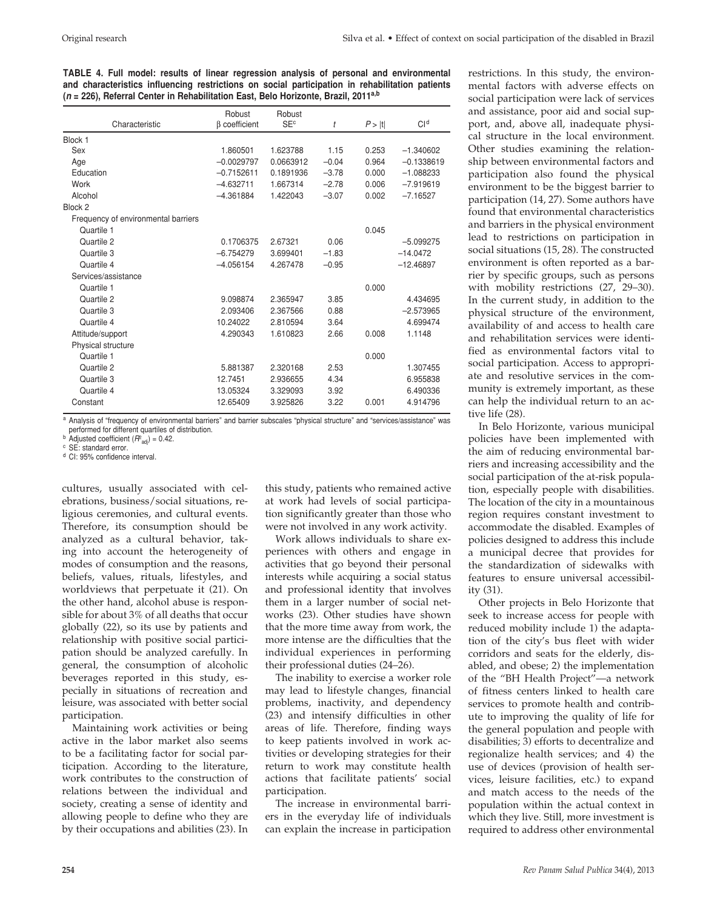**TABLE 4. Full model: results of linear regression analysis of personal and environmental and characteristics influencing restrictions on social participation in rehabilitation patients (***n* **= 226), Referral Center in Rehabilitation East, Belo Horizonte, Brazil, 2011a,b**

|                                     | Robust              | Robust                |         |        |                 |
|-------------------------------------|---------------------|-----------------------|---------|--------|-----------------|
| Characteristic                      | $\beta$ coefficient | <b>SE<sup>c</sup></b> | t       | P >  t | Cl <sup>d</sup> |
| Block 1                             |                     |                       |         |        |                 |
| Sex                                 | 1.860501            | 1.623788              | 1.15    | 0.253  | $-1.340602$     |
| Age                                 | $-0.0029797$        | 0.0663912             | $-0.04$ | 0.964  | $-0.1338619$    |
| Education                           | $-0.7152611$        | 0.1891936             | $-3.78$ | 0.000  | $-1.088233$     |
| Work                                | $-4.632711$         | 1.667314              | $-2.78$ | 0.006  | $-7.919619$     |
| Alcohol                             | $-4.361884$         | 1.422043              | $-3.07$ | 0.002  | $-7.16527$      |
| Block 2                             |                     |                       |         |        |                 |
| Frequency of environmental barriers |                     |                       |         |        |                 |
| Quartile 1                          |                     |                       |         | 0.045  |                 |
| Quartile 2                          | 0.1706375           | 2.67321               | 0.06    |        | $-5.099275$     |
| Quartile 3                          | $-6.754279$         | 3.699401              | $-1.83$ |        | $-14.0472$      |
| Quartile 4                          | $-4.056154$         | 4.267478              | $-0.95$ |        | $-12.46897$     |
| Services/assistance                 |                     |                       |         |        |                 |
| Quartile 1                          |                     |                       |         | 0.000  |                 |
| Quartile 2                          | 9.098874            | 2.365947              | 3.85    |        | 4.434695        |
| Quartile 3                          | 2.093406            | 2.367566              | 0.88    |        | $-2.573965$     |
| Quartile 4                          | 10.24022            | 2.810594              | 3.64    |        | 4.699474        |
| Attitude/support                    | 4.290343            | 1.610823              | 2.66    | 0.008  | 1.1148          |
| Physical structure                  |                     |                       |         |        |                 |
| Quartile 1                          |                     |                       |         | 0.000  |                 |
| Quartile 2                          | 5.881387            | 2.320168              | 2.53    |        | 1.307455        |
| Quartile 3                          | 12.7451             | 2.936655              | 4.34    |        | 6.955838        |
| Quartile 4                          | 13.05324            | 3.329093              | 3.92    |        | 6.490336        |
| Constant                            | 12.65409            | 3.925826              | 3.22    | 0.001  | 4.914796        |
|                                     |                     |                       |         |        |                 |

a Analysis of "frequency of environmental barriers" and barrier subscales "physical structure" and "services/assistance" was performed for different quartiles of distribution.

**b** Adjusted coefficient  $(R^2_{\text{adj}}) = 0.42$ .<br>
<sup>c</sup> SE: standard error.<br>
<sup>d</sup> CI: 95% confidence interval.

cultures, usually associated with celebrations, business/social situations, religious ceremonies, and cultural events. Therefore, its consumption should be analyzed as a cultural behavior, taking into account the heterogeneity of modes of consumption and the reasons, beliefs, values, rituals, lifestyles, and worldviews that perpetuate it (21). On the other hand, alcohol abuse is responsible for about 3% of all deaths that occur globally (22), so its use by patients and relationship with positive social participation should be analyzed carefully. In general, the consumption of alcoholic beverages reported in this study, especially in situations of recreation and leisure, was associated with better social participation.

Maintaining work activities or being active in the labor market also seems to be a facilitating factor for social participation. According to the literature, work contributes to the construction of relations between the individual and society, creating a sense of identity and allowing people to define who they are by their occupations and abilities (23). In

this study, patients who remained active at work had levels of social participation significantly greater than those who were not involved in any work activity.

Work allows individuals to share experiences with others and engage in activities that go beyond their personal interests while acquiring a social status and professional identity that involves them in a larger number of social networks (23). Other studies have shown that the more time away from work, the more intense are the difficulties that the individual experiences in performing their professional duties (24–26).

The inability to exercise a worker role may lead to lifestyle changes, financial problems, inactivity, and dependency (23) and intensify difficulties in other areas of life. Therefore, finding ways to keep patients involved in work activities or developing strategies for their return to work may constitute health actions that facilitate patients' social participation.

The increase in environmental barriers in the everyday life of individuals can explain the increase in participation restrictions. In this study, the environmental factors with adverse effects on social participation were lack of services and assistance, poor aid and social support, and, above all, inadequate physical structure in the local environment. Other studies examining the relationship between environmental factors and participation also found the physical environment to be the biggest barrier to participation (14, 27). Some authors have found that environmental characteristics and barriers in the physical environment lead to restrictions on participation in social situations (15, 28). The constructed environment is often reported as a barrier by specific groups, such as persons with mobility restrictions (27, 29–30). In the current study, in addition to the physical structure of the environment, availability of and access to health care and rehabilitation services were identified as environmental factors vital to social participation. Access to appropriate and resolutive services in the community is extremely important, as these can help the individual return to an active life (28).

In Belo Horizonte, various municipal policies have been implemented with the aim of reducing environmental barriers and increasing accessibility and the social participation of the at-risk population, especially people with disabilities. The location of the city in a mountainous region requires constant investment to accommodate the disabled. Examples of policies designed to address this include a municipal decree that provides for the standardization of sidewalks with features to ensure universal accessibility (31).

Other projects in Belo Horizonte that seek to increase access for people with reduced mobility include 1) the adaptation of the city's bus fleet with wider corridors and seats for the elderly, disabled, and obese; 2) the implementation of the "BH Health Project"—a network of fitness centers linked to health care services to promote health and contribute to improving the quality of life for the general population and people with disabilities; 3) efforts to decentralize and regionalize health services; and 4) the use of devices (provision of health services, leisure facilities, etc.) to expand and match access to the needs of the population within the actual context in which they live. Still, more investment is required to address other environmental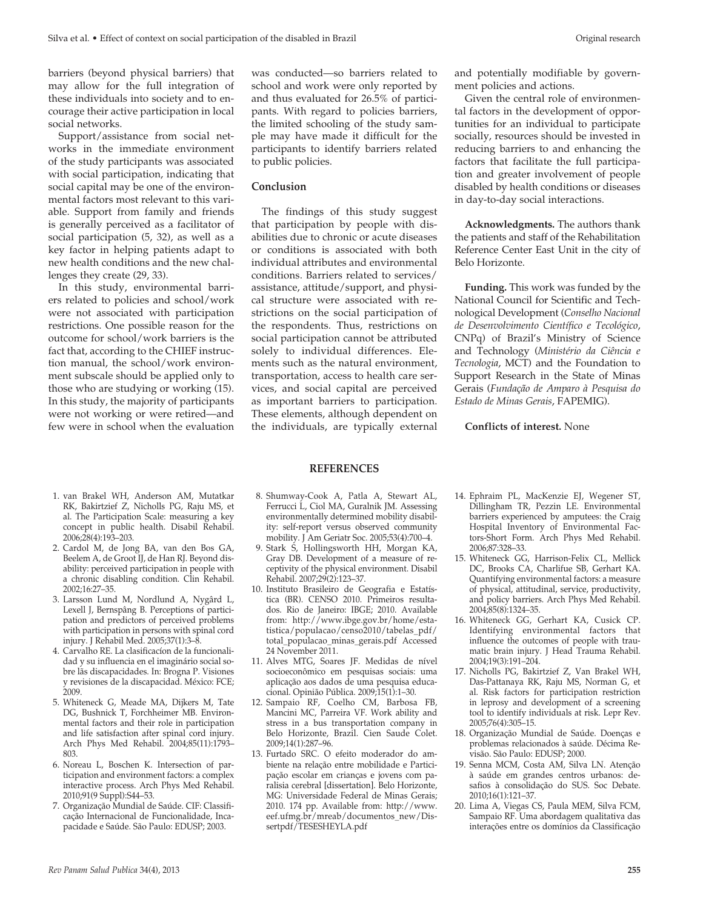barriers (beyond physical barriers) that may allow for the full integration of these individuals into society and to encourage their active participation in local social networks.

Support/assistance from social networks in the immediate environment of the study participants was associated with social participation, indicating that social capital may be one of the environmental factors most relevant to this variable. Support from family and friends is generally perceived as a facilitator of social participation (5, 32), as well as a key factor in helping patients adapt to new health conditions and the new challenges they create (29, 33).

In this study, environmental barriers related to policies and school/work were not associated with participation restrictions. One possible reason for the outcome for school/work barriers is the fact that, according to the CHIEF instruction manual, the school/work environment subscale should be applied only to those who are studying or working (15). In this study, the majority of participants were not working or were retired—and few were in school when the evaluation

2. Cardol M, de Jong BA, van den Bos GA, Beelem A, de Groot IJ, de Han RJ. Beyond disability: perceived participation in people with a chronic disabling condition. Clin Rehabil.

3. Larsson Lund M, Nordlund A, Nygârd L, Lexell J, Bernspâng B. Perceptions of participation and predictors of perceived problems with participation in persons with spinal cord injury. J Rehabil Med. 2005;37(1):3–8. 4. Carvalho RE. La clasificacíon de la funcionalidad y su influencia en el imaginário social sobre lãs discapacidades. In: Brogna P. Visiones y revisiones de la discapacidad. México: FCE;

5. Whiteneck G, Meade MA, Dijkers M, Tate DG, Bushnick T, Forchheimer MB. Environmental factors and their role in participation and life satisfaction after spinal cord injury. Arch Phys Med Rehabil. 2004;85(11):1793–

6. Noreau L, Boschen K. Intersection of participation and environment factors: a complex interactive process. Arch Phys Med Rehabil.

7. Organização Mundial de Saúde. CIF: Classificação Internacional de Funcionalidade, Incapacidade e Saúde. São Paulo: EDUSP; 2003.

2006;28(4):193–203.

2002;16:27–35.

2009.

803.

was conducted—so barriers related to school and work were only reported by and thus evaluated for 26.5% of participants. With regard to policies barriers, the limited schooling of the study sample may have made it difficult for the participants to identify barriers related to public policies.

#### **Conclusion**

The findings of this study suggest that participation by people with disabilities due to chronic or acute diseases or conditions is associated with both individual attributes and environmental conditions. Barriers related to services/ assistance, attitude/support, and physical structure were associated with restrictions on the social participation of the respondents. Thus, restrictions on social participation cannot be attributed solely to individual differences. Elements such as the natural environment, transportation, access to health care services, and social capital are perceived as important barriers to participation. These elements, although dependent on the individuals, are typically external and potentially modifiable by government policies and actions.

Given the central role of environmental factors in the development of opportunities for an individual to participate socially, resources should be invested in reducing barriers to and enhancing the factors that facilitate the full participation and greater involvement of people disabled by health conditions or diseases in day-to-day social interactions.

**Acknowledgments.** The authors thank the patients and staff of the Rehabilitation Reference Center East Unit in the city of Belo Horizonte.

**Funding.** This work was funded by the National Council for Scientific and Technological Development (*Conselho Nacional de Desenvolvimento Científico e Tecológico*, CNPq) of Brazil's Ministry of Science and Technology (*Ministério da Ciência e Tecnologia*, MCT) and the Foundation to Support Research in the State of Minas Gerais (*Fundação de Amparo à Pesquisa do Estado de Minas Gerais*, FAPEMIG).

**Conflicts of interest.** None

#### **REFERENCES**

- 1. van Brakel WH, Anderson AM, Mutatkar RK, Bakirtzief Z, Nicholls PG, Raju MS, et al. The Participation Scale: measuring a key concept in public health. Disabil Rehabil. 8. Shumway-Cook A, Patla A, Stewart AL, Ferrucci L, Ciol MA, Guralnik JM. Assessing environmentally determined mobility disability: self-report versus observed community mobility. J Am Geriatr Soc. 2005;53(4):700–4.
	- 9. Stark S, Hollingsworth HH, Morgan KA, Gray DB. Development of a measure of receptivity of the physical environment. Disabil Rehabil. 2007;29(2):123–37.
	- 10. Instituto Brasileiro de Geografia e Estatística (BR). CENSO 2010. Primeiros resultados. Rio de Janeiro: IBGE; 2010. Available from: http://www.ibge.gov.br/home/estatistica/populacao/censo2010/tabelas\_pdf/ total\_populacao\_minas\_gerais.pdf Accessed 24 November 2011.
	- 11. Alves MTG, Soares JF. Medidas de nível socioeconômico em pesquisas sociais: uma aplicação aos dados de uma pesquisa educacional. Opinião Pública. 2009;15(1):1–30.
	- 12. Sampaio RF, Coelho CM, Barbosa FB, Mancini MC, Parreira VF. Work ability and stress in a bus transportation company in Belo Horizonte, Brazil. Cien Saude Colet. 2009;14(1):287–96.
	- 13. Furtado SRC. O efeito moderador do ambiente na relação entre mobilidade e Participação escolar em crianças e jovens com paralisia cerebral [dissertation]. Belo Horizonte, MG: Universidade Federal de Minas Gerais; 2010. 174 pp. Available from: http://www. eef.ufmg.br/mreab/documentos\_new/Dissertpdf/TESESHEYLA.pdf
- 14. Ephraim PL, MacKenzie EJ, Wegener ST, Dillingham TR, Pezzin LE. Environmental barriers experienced by amputees: the Craig Hospital Inventory of Environmental Factors-Short Form. Arch Phys Med Rehabil. 2006;87:328–33.
- 15. Whiteneck GG, Harrison-Felix CL, Mellick DC, Brooks CA, Charlifue SB, Gerhart KA. Quantifying environmental factors: a measure of physical, attitudinal, service, productivity, and policy barriers. Arch Phys Med Rehabil. 2004;85(8):1324–35.
- 16. Whiteneck GG, Gerhart KA, Cusick CP. Identifying environmental factors that influence the outcomes of people with traumatic brain injury. J Head Trauma Rehabil. 2004;19(3):191–204.
- 17. Nicholls PG, Bakirtzief Z, Van Brakel WH, Das-Pattanaya RK, Raju MS, Norman G, et al. Risk factors for participation restriction in leprosy and development of a screening tool to identify individuals at risk. Lepr Rev. 2005;76(4):305–15.
- 18. Organização Mundial de Saúde. Doenças e problemas relacionados à saúde. Décima Revisão. São Paulo: EDUSP; 2000.
- 19. Senna MCM, Costa AM, Silva LN. Atenção à saúde em grandes centros urbanos: desafios à consolidação do SUS. Soc Debate. 2010;16(1):121–37.
- 20. Lima A, Viegas CS, Paula MEM, Silva FCM, Sampaio RF. Uma abordagem qualitativa das interações entre os domínios da Classificação

2010;91(9 Suppl):S44–53.